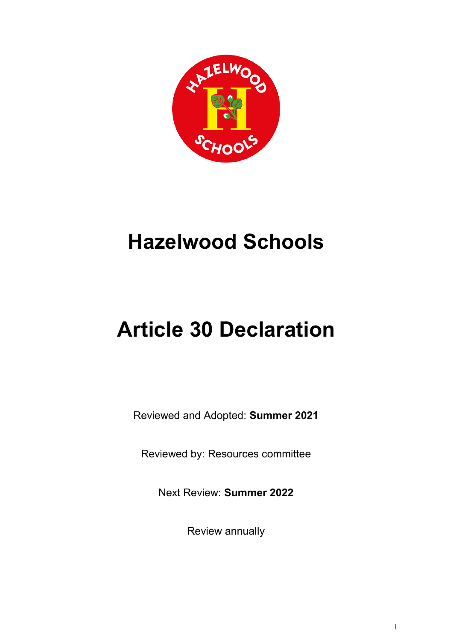

# **Hazelwood Schools**

# **Article 30 Declaration**

Reviewed and Adopted: **Summer 2021**

Reviewed by: Resources committee

Next Review: **Summer 2022**

Review annually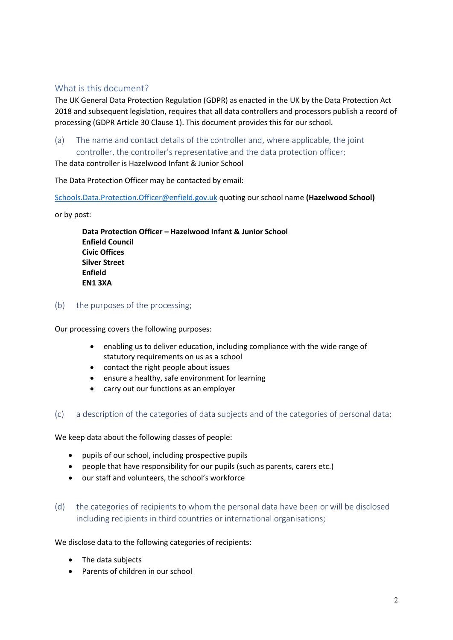## What is this document?

The UK General Data Protection Regulation (GDPR) as enacted in the UK by the Data Protection Act 2018 and subsequent legislation, requires that all data controllers and processors publish a record of processing (GDPR Article 30 Clause 1). This document provides this for our school.

(a) The name and contact details of the controller and, where applicable, the joint controller, the controller's representative and the data protection officer;

The data controller is Hazelwood Infant & Junior School

The Data Protection Officer may be contacted by email:

[Schools.Data.Protection.Officer@enfield.gov.uk](mailto:Schools.Data.Protection.Officer@enfield.gov.uk) quoting our school name **(Hazelwood School)**

or by post:

**Data Protection Officer – Hazelwood Infant & Junior School Enfield Council Civic Offices Silver Street Enfield EN1 3XA**

(b) the purposes of the processing;

Our processing covers the following purposes:

- enabling us to deliver education, including compliance with the wide range of statutory requirements on us as a school
- contact the right people about issues
- ensure a healthy, safe environment for learning
- carry out our functions as an employer
- (c) a description of the categories of data subjects and of the categories of personal data;

We keep data about the following classes of people:

- pupils of our school, including prospective pupils
- people that have responsibility for our pupils (such as parents, carers etc.)
- our staff and volunteers, the school's workforce
- (d) the categories of recipients to whom the personal data have been or will be disclosed including recipients in third countries or international organisations;

We disclose data to the following categories of recipients:

- The data subjects
- Parents of children in our school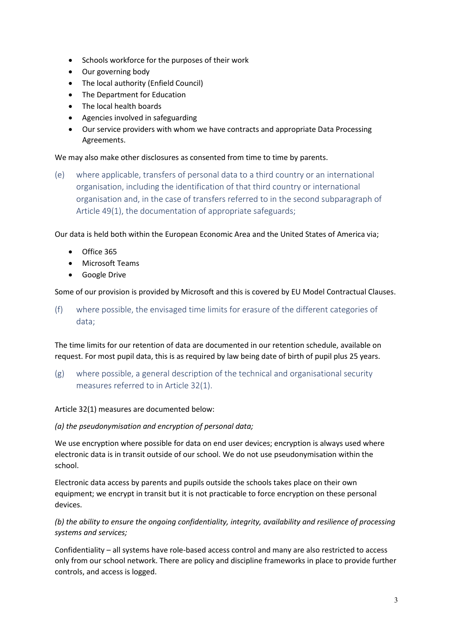- Schools workforce for the purposes of their work
- Our governing body
- The local authority (Enfield Council)
- The Department for Education
- The local health boards
- Agencies involved in safeguarding
- Our service providers with whom we have contracts and appropriate Data Processing Agreements.

We may also make other disclosures as consented from time to time by parents.

(e) where applicable, transfers of personal data to a third country or an international organisation, including the identification of that third country or international organisation and, in the case of transfers referred to in the second subparagraph of Article 49(1), the documentation of appropriate safeguards;

Our data is held both within the European Economic Area and the United States of America via;

- Office 365
- Microsoft Teams
- Google Drive

Some of our provision is provided by Microsoft and this is covered by EU Model Contractual Clauses.

(f) where possible, the envisaged time limits for erasure of the different categories of data;

The time limits for our retention of data are documented in our retention schedule, available on request. For most pupil data, this is as required by law being date of birth of pupil plus 25 years.

(g) where possible, a general description of the technical and organisational security measures referred to in Article 32(1).

Article 32(1) measures are documented below:

#### *(a) the pseudonymisation and encryption of personal data;*

We use encryption where possible for data on end user devices; encryption is always used where electronic data is in transit outside of our school. We do not use pseudonymisation within the school.

Electronic data access by parents and pupils outside the schools takes place on their own equipment; we encrypt in transit but it is not practicable to force encryption on these personal devices.

### *(b) the ability to ensure the ongoing confidentiality, integrity, availability and resilience of processing systems and services;*

Confidentiality – all systems have role-based access control and many are also restricted to access only from our school network. There are policy and discipline frameworks in place to provide further controls, and access is logged.